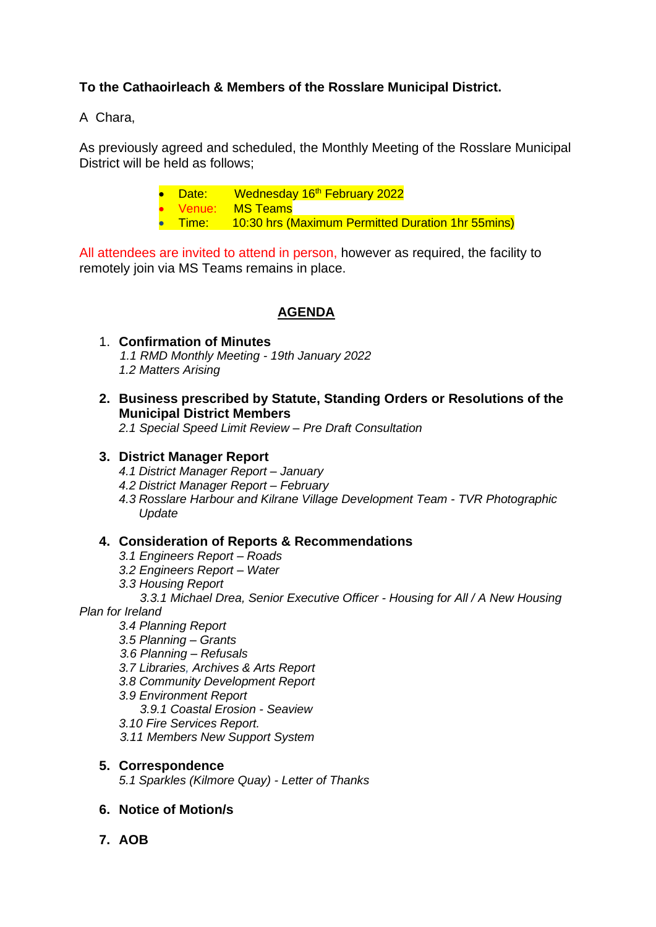# **To the Cathaoirleach & Members of the Rosslare Municipal District.**

A Chara,

As previously agreed and scheduled, the Monthly Meeting of the Rosslare Municipal District will be held as follows;

> **Date:** Wednesday 16<sup>th</sup> February 2022 Venue: MS Teams • Time: 10:30 hrs (Maximum Permitted Duration 1hr 55mins)

All attendees are invited to attend in person, however as required, the facility to remotely join via MS Teams remains in place.

# **AGENDA**

- 1. **Confirmation of Minutes**  *1.1 RMD Monthly Meeting - 19th January 2022 1.2 Matters Arising*
- **2. Business prescribed by Statute, Standing Orders or Resolutions of the Municipal District Members**

*2.1 Special Speed Limit Review – Pre Draft Consultation*

## **3. District Manager Report**

- *4.1 District Manager Report – January*
- *4.2 District Manager Report – February*
- *4.3 Rosslare Harbour and Kilrane Village Development Team - TVR Photographic Update*

## **4. Consideration of Reports & Recommendations**

- *3.1 Engineers Report – Roads*
- *3.2 Engineers Report – Water*
- *3.3 Housing Report*

 *3.3.1 Michael Drea, Senior Executive Officer - Housing for All / A New Housing Plan for Ireland*

- *3.4 Planning Report*
- *3.5 Planning – Grants*
- *3.6 Planning – Refusals*
- *3.7 Libraries, Archives & Arts Report*
- *3.8 Community Development Report*
- *3.9 Environment Report*
	- *3.9.1 Coastal Erosion - Seaview*
- *3.10 Fire Services Report.*
- *3.11 Members New Support System*

#### **5. Correspondence**

*5.1 Sparkles (Kilmore Quay) - Letter of Thanks*

## **6. Notice of Motion/s**

**7. AOB**